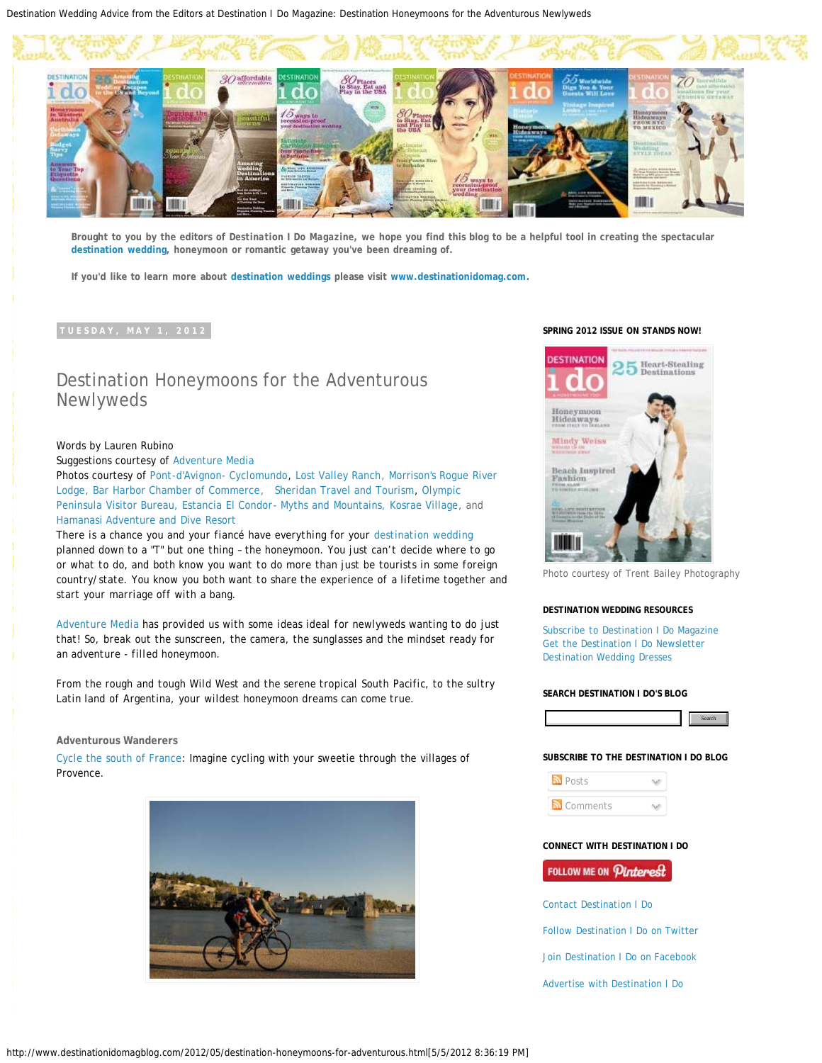Destination Wedding Advice from the Editors at Destination I Do Magazine: Destination Honeymoons for the Adventurous Newlyweds



**Brought to you by the editors of** *Destination I Do Magazine,* **we hope you find this blog to be a helpful tool in creating the spectacular [destination wedding](http://www.destinationidomag.com/), honeymoon or romantic getaway you've been dreaming of.**

**If you'd like to learn more about [destination weddings](http://www.destinationidomag.com/) please visit [www.destinationidomag.com](http://www.destinationidomag.com/).**

# Destination Honeymoons for the Adventurous Newlyweds

### Words by Lauren Rubino

Suggestions courtesy of [Adventure Media](http://www.adventuremedianews.com/)

Photos courtesy of [Pont-d'Avignon- Cyclomundo,](http://www.cyclomundo.com/p_provence_avignon_nice.html) [Lost Valley Ranch](http://www.lostvalleyranch.com/), [Morrison's Rogue River](http://www.morrisonslodge.com/) [Lodge,](http://www.morrisonslodge.com/) [Bar Harbor Chamber of Commerce](http://www.barharborinfo.com/), [Sheridan Travel and Tourism,](http://www.sheridanwyoming.org/) [Olympic](http://www.olympicpeninsula.org/) [Peninsula Visitor Bureau,](http://www.olympicpeninsula.org/) [Estancia El Condor- Myths and Mountains, Kosrae Village,](http://www.kosraevillage.com/) and [Hamanasi Adventure and Dive Resort](http://www.hamanasi.com/)

There is a chance you and your fiance have everything for your [destination wedding](http://www.destinationidomag.com/) *planned down to a "T" but one thing – the honeymoon. You just can't decide where to go or what to do, and both know you want to do more than just be tourists in some foreign country/state. You know you both want to share the experience of a lifetime together and start your marriage off with a bang.*

*[Adventure Media](http://www.adventuremedianews.com/) has provided us with some ideas ideal for newlyweds wanting to do just that! So, break out the sunscreen, the camera, the sunglasses and the mindset ready for an adventure - filled honeymoon.*

*From the rough and tough Wild West and the serene tropical South Pacific, to the sultry Latin land of Argentina, your wildest honeymoon dreams can come true.*

#### **Adventurous Wanderers**

[Cycle the south of France:](http://www.cyclomundo.com/) Imagine cycling with your sweetie through the villages of Provence.



#### **SPRING 2012 ISSUE ON STANDS NOW!**



Photo courtesy of Trent Bailey Photography

#### **DESTINATION WEDDING RESOURCES**

[Subscribe to Destination I Do Magazine](http://www.destinationidomag.com/subscribe/) [Get the Destination I Do Newsletter](http://www.destinationidomag.com/sign_up/) [Destination Wedding Dresses](http://www.destinationidomag.com/gowns/)

#### **SEARCH DESTINATION I DO'S BLOG**



**SUBSCRIBE TO THE DESTINATION I DO BLOG**

**N** Posts Sub-**N** Comments

#### **CONNECT WITH DESTINATION I DO**

## FOLLOW ME ON Pinterest

[Contact Destination I Do](http://www.destinationidomag.com/contact/)

[Follow Destination I Do on Twitter](http://twitter.com/destinationido)

[Join Destination I Do on Facebook](http://www.facebook.com/pages/Destination-I-Do-Magazine/97246192769)

[Advertise with Destination I Do](http://www.destinationidomag.com/advertise/)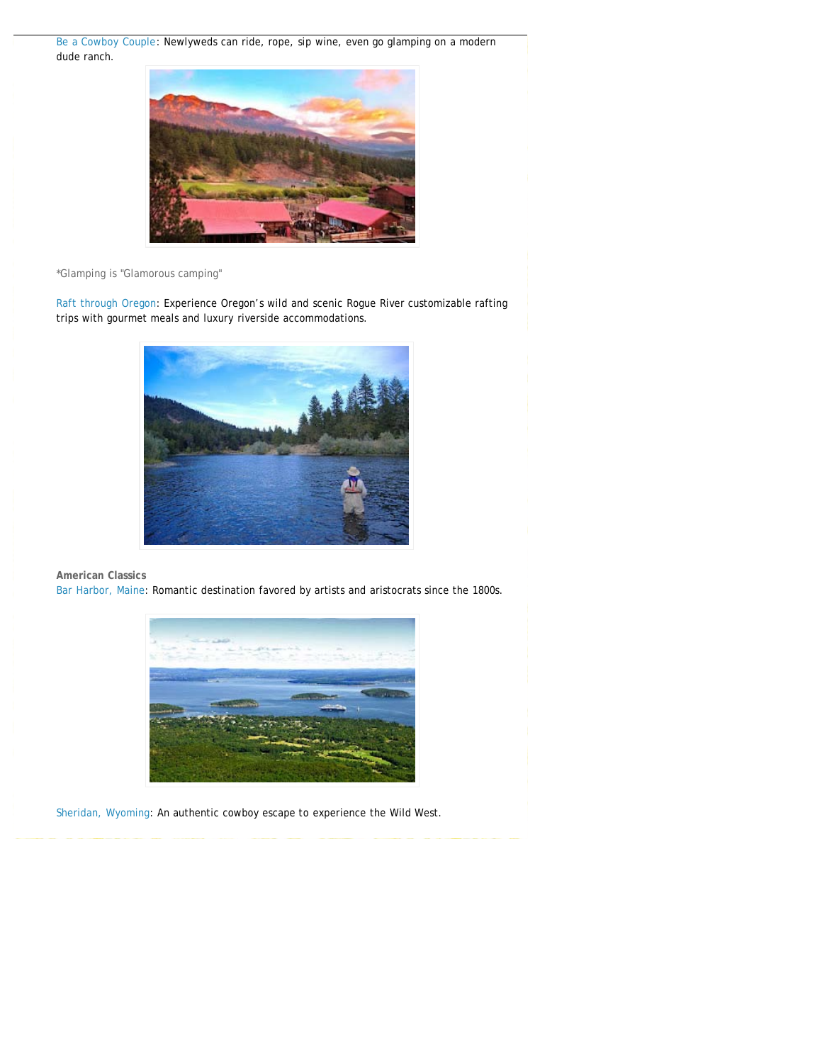[Be a Cowboy Couple](http://www.duderanch.org/): Newlyweds can ride, rope, sip wine, even go glamping on a modern dude ranch.



\*Glamping is "Glamorous camping"

[Raft through Oregon](http://www.morrisons.com/): Experience Oregon's wild and scenic Rogue River customizable rafting trips with gourmet meals and luxury riverside accommodations.



**American Classics** [Bar Harbor, Maine](http://www.barharborinfo.com/): Romantic destination favored by artists and aristocrats since the 1800s.



[Sheridan, Wyoming](http://www.sheridanwyoming.org/): An authentic cowboy escape to experience the Wild West.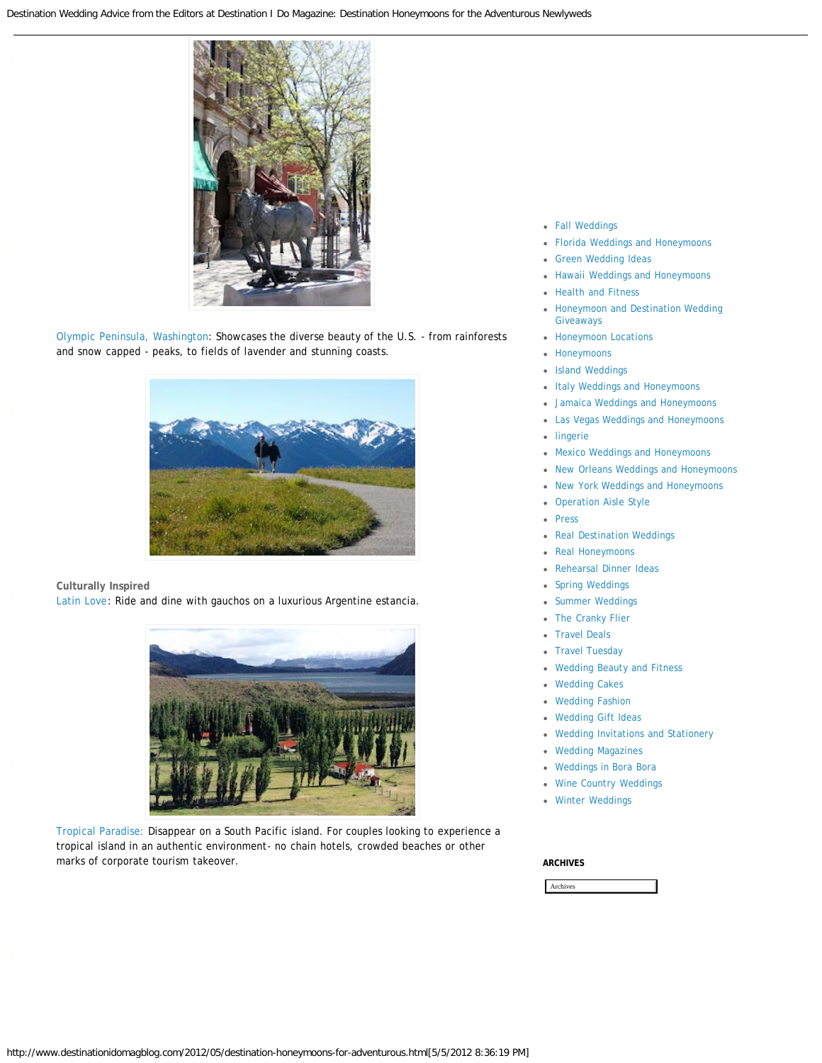

[Olympic Peninsula, Washington](http://www.olympicpeninsula.org/): Showcases the diverse beauty of the U.S. - from rainforests and snow capped - peaks, to fields of lavender and stunning coasts.



**Culturally Inspired** [Latin Love](http://www.mythsandmountains.com/): Ride and dine with gauchos on a luxurious Argentine estancia.



[Tropical Paradise:](http://www.kosraevillage.com/) Disappear on a South Pacific island. For couples looking to experience a tropical island in an authentic environment- no chain hotels, crowded beaches or other marks of corporate tourism takeover.